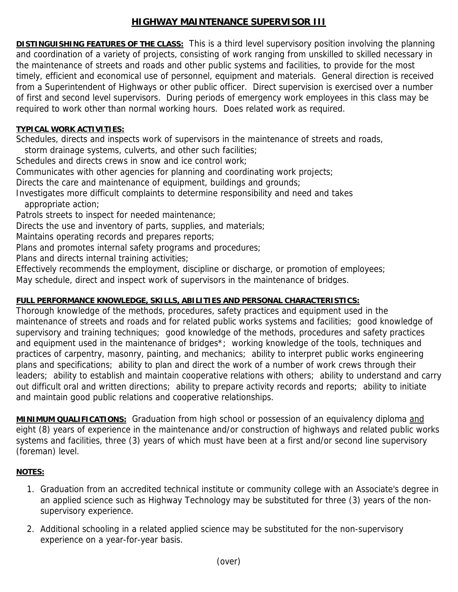## **HIGHWAY MAINTENANCE SUPERVISOR III**

**DISTINGUISHING FEATURES OF THE CLASS:** This is a third level supervisory position involving the planning and coordination of a variety of projects, consisting of work ranging from unskilled to skilled necessary in the maintenance of streets and roads and other public systems and facilities, to provide for the most timely, efficient and economical use of personnel, equipment and materials. General direction is received from a Superintendent of Highways or other public officer. Direct supervision is exercised over a number of first and second level supervisors. During periods of emergency work employees in this class may be required to work other than normal working hours. Does related work as required.

## **TYPICAL WORK ACTIVITIES:**

Schedules, directs and inspects work of supervisors in the maintenance of streets and roads,

storm drainage systems, culverts, and other such facilities;

Schedules and directs crews in snow and ice control work;

Communicates with other agencies for planning and coordinating work projects;

Directs the care and maintenance of equipment, buildings and grounds;

Investigates more difficult complaints to determine responsibility and need and takes appropriate action;

Patrols streets to inspect for needed maintenance;

Directs the use and inventory of parts, supplies, and materials;

Maintains operating records and prepares reports;

Plans and promotes internal safety programs and procedures;

Plans and directs internal training activities;

Effectively recommends the employment, discipline or discharge, or promotion of employees;

May schedule, direct and inspect work of supervisors in the maintenance of bridges.

## **FULL PERFORMANCE KNOWLEDGE, SKILLS, ABILITIES AND PERSONAL CHARACTERISTICS:**

Thorough knowledge of the methods, procedures, safety practices and equipment used in the maintenance of streets and roads and for related public works systems and facilities; good knowledge of supervisory and training techniques; good knowledge of the methods, procedures and safety practices and equipment used in the maintenance of bridges<sup>\*</sup>; working knowledge of the tools, techniques and practices of carpentry, masonry, painting, and mechanics; ability to interpret public works engineering plans and specifications; ability to plan and direct the work of a number of work crews through their leaders; ability to establish and maintain cooperative relations with others; ability to understand and carry out difficult oral and written directions; ability to prepare activity records and reports; ability to initiate and maintain good public relations and cooperative relationships.

**MINIMUM QUALIFICATIONS:** Graduation from high school or possession of an equivalency diploma and eight (8) years of experience in the maintenance and/or construction of highways and related public works systems and facilities, three (3) years of which must have been at a first and/or second line supervisory (foreman) level.

## **NOTES:**

- 1. Graduation from an accredited technical institute or community college with an Associate's degree in an applied science such as Highway Technology may be substituted for three (3) years of the nonsupervisory experience.
- 2. Additional schooling in a related applied science may be substituted for the non-supervisory experience on a year-for-year basis.